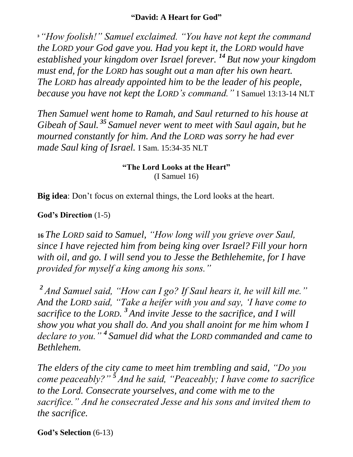## **"David: A Heart for God"**

**<sup>3</sup>** *"How foolish!" Samuel exclaimed. "You have not kept the command the LORD your God gave you. Had you kept it, the LORD would have established your kingdom over Israel forever. <sup>14</sup> But now your kingdom must end, for the LORD has sought out a man after his own heart. The LORD has already appointed him to be the leader of his people, because you have not kept the LORD's command."* I Samuel 13:13-14 NLT

*Then Samuel went home to Ramah, and Saul returned to his house at Gibeah of Saul. <sup>35</sup> Samuel never went to meet with Saul again, but he mourned constantly for him. And the LORD was sorry he had ever made Saul king of Israel.* I Sam. 15:34-35 NLT

> **"The Lord Looks at the Heart"** (I Samuel 16)

**Big idea**: Don't focus on external things, the Lord looks at the heart.

## **God's Direction** (1-5)

**<sup>16</sup>** *The LORD said to Samuel, "How long will you grieve over Saul, since I have rejected him from being king over Israel? Fill your horn with oil, and go. I will send you to Jesse the Bethlehemite, for I have provided for myself a king among his sons."*

*<sup>2</sup> And Samuel said, "How can I go? If Saul hears it, he will kill me." And the LORD said, "Take a heifer with you and say, 'I have come to sacrifice to the LORD. <sup>3</sup> And invite Jesse to the sacrifice, and I will show you what you shall do. And you shall anoint for me him whom I declare to you." <sup>4</sup> Samuel did what the LORD commanded and came to Bethlehem.*

*The elders of the city came to meet him trembling and said, "Do you come peaceably?" <sup>5</sup> And he said, "Peaceably; I have come to sacrifice to the Lord. Consecrate yourselves, and come with me to the sacrifice." And he consecrated Jesse and his sons and invited them to the sacrifice.*

**God's Selection** (6-13)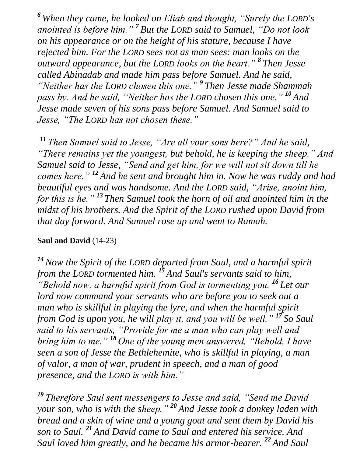*<sup>6</sup> When they came, he looked on Eliab and thought, "Surely the LORD's anointed is before him." <sup>7</sup> But the LORD said to Samuel, "Do not look on his appearance or on the height of his stature, because I have rejected him. For the LORD sees not as man sees: man looks on the outward appearance, but the LORD looks on the heart." <sup>8</sup> Then Jesse called Abinadab and made him pass before Samuel. And he said, "Neither has the LORD chosen this one." <sup>9</sup> Then Jesse made Shammah pass by. And he said, "Neither has the LORD chosen this one." <sup>10</sup> And Jesse made seven of his sons pass before Samuel. And Samuel said to Jesse, "The LORD has not chosen these."*

*<sup>11</sup> Then Samuel said to Jesse, "Are all your sons here?" And he said, "There remains yet the youngest, but behold, he is keeping the sheep." And Samuel said to Jesse, "Send and get him, for we will not sit down till he comes here." <sup>12</sup> And he sent and brought him in. Now he was ruddy and had beautiful eyes and was handsome. And the LORD said, "Arise, anoint him, for this is he." <sup>13</sup> Then Samuel took the horn of oil and anointed him in the midst of his brothers. And the Spirit of the LORD rushed upon David from that day forward. And Samuel rose up and went to Ramah.*

## **Saul and David** (14-23)

*<sup>14</sup>Now the Spirit of the LORD departed from Saul, and a harmful spirit from the LORD tormented him. <sup>15</sup> And Saul's servants said to him, "Behold now, a harmful spirit from God is tormenting you. <sup>16</sup> Let our lord now command your servants who are before you to seek out a man who is skillful in playing the lyre, and when the harmful spirit from God is upon you, he will play it, and you will be well." <sup>17</sup> So Saul said to his servants, "Provide for me a man who can play well and bring him to me." <sup>18</sup> One of the young men answered, "Behold, I have seen a son of Jesse the Bethlehemite, who is skillful in playing, a man of valor, a man of war, prudent in speech, and a man of good presence, and the LORD is with him."*

*<sup>19</sup> Therefore Saul sent messengers to Jesse and said, "Send me David your son, who is with the sheep." <sup>20</sup> And Jesse took a donkey laden with bread and a skin of wine and a young goat and sent them by David his son to Saul. <sup>21</sup> And David came to Saul and entered his service. And Saul loved him greatly, and he became his armor-bearer. <sup>22</sup> And Saul*